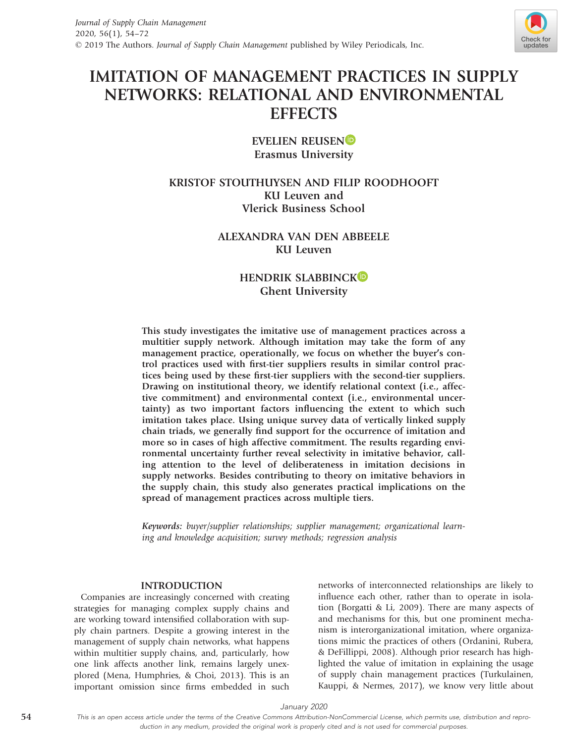

# IMITATION OF MANAGEMENT PRACTICES IN SUPPLY NETWORKS: RELATIONAL AND ENVIRONMENTAL **EFFECTS**

EVELIE[N](https://orcid.org/0000-0003-1768-5731) REUSEN<sup>D</sup> Erasmus University

KRISTOF STOUTHUYSEN AND FILIP ROODHOOFT KU Leuven and Vlerick Business School

# ALEXANDRA VAN DEN ABBEELE KU Leuven

# HENDRI[K](https://orcid.org/0000-0003-0589-2952) SLABBINCK<sup>D</sup> Ghent University

This study investigates the imitative use of management practices across a multitier supply network. Although imitation may take the form of any management practice, operationally, we focus on whether the buyer's control practices used with first-tier suppliers results in similar control practices being used by these first-tier suppliers with the second-tier suppliers. Drawing on institutional theory, we identify relational context (i.e., affective commitment) and environmental context (i.e., environmental uncertainty) as two important factors influencing the extent to which such imitation takes place. Using unique survey data of vertically linked supply chain triads, we generally find support for the occurrence of imitation and more so in cases of high affective commitment. The results regarding environmental uncertainty further reveal selectivity in imitative behavior, calling attention to the level of deliberateness in imitation decisions in supply networks. Besides contributing to theory on imitative behaviors in the supply chain, this study also generates practical implications on the spread of management practices across multiple tiers.

Keywords: buyer/supplier relationships; supplier management; organizational learning and knowledge acquisition; survey methods; regression analysis

## INTRODUCTION

Companies are increasingly concerned with creating strategies for managing complex supply chains and are working toward intensified collaboration with supply chain partners. Despite a growing interest in the management of supply chain networks, what happens within multitier supply chains, and, particularly, how one link affects another link, remains largely unexplored (Mena, Humphries, & Choi, 2013). This is an important omission since firms embedded in such networks of interconnected relationships are likely to influence each other, rather than to operate in isolation (Borgatti & Li, 2009). There are many aspects of and mechanisms for this, but one prominent mechanism is interorganizational imitation, where organizations mimic the practices of others (Ordanini, Rubera, & DeFillippi, 2008). Although prior research has highlighted the value of imitation in explaining the usage of supply chain management practices (Turkulainen, Kauppi, & Nermes, 2017), we know very little about

January 2020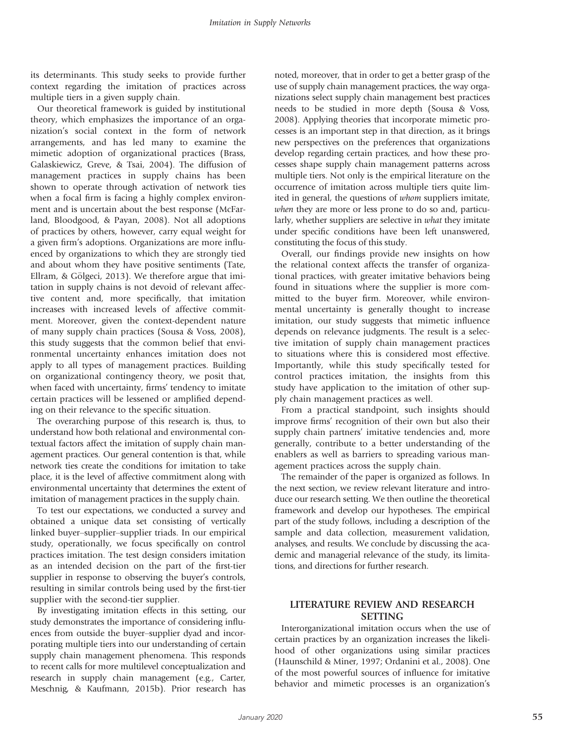its determinants. This study seeks to provide further context regarding the imitation of practices across multiple tiers in a given supply chain.

Our theoretical framework is guided by institutional theory, which emphasizes the importance of an organization's social context in the form of network arrangements, and has led many to examine the mimetic adoption of organizational practices (Brass, Galaskiewicz, Greve, & Tsai, 2004). The diffusion of management practices in supply chains has been shown to operate through activation of network ties when a focal firm is facing a highly complex environment and is uncertain about the best response (McFarland, Bloodgood, & Payan, 2008). Not all adoptions of practices by others, however, carry equal weight for a given firm's adoptions. Organizations are more influenced by organizations to which they are strongly tied and about whom they have positive sentiments (Tate, Ellram, & Gölgeci, 2013). We therefore argue that imitation in supply chains is not devoid of relevant affective content and, more specifically, that imitation increases with increased levels of affective commitment. Moreover, given the context-dependent nature of many supply chain practices (Sousa & Voss, 2008), this study suggests that the common belief that environmental uncertainty enhances imitation does not apply to all types of management practices. Building on organizational contingency theory, we posit that, when faced with uncertainty, firms' tendency to imitate certain practices will be lessened or amplified depending on their relevance to the specific situation.

The overarching purpose of this research is, thus, to understand how both relational and environmental contextual factors affect the imitation of supply chain management practices. Our general contention is that, while network ties create the conditions for imitation to take place, it is the level of affective commitment along with environmental uncertainty that determines the extent of imitation of management practices in the supply chain.

To test our expectations, we conducted a survey and obtained a unique data set consisting of vertically linked buyer–supplier–supplier triads. In our empirical study, operationally, we focus specifically on control practices imitation. The test design considers imitation as an intended decision on the part of the first-tier supplier in response to observing the buyer's controls, resulting in similar controls being used by the first-tier supplier with the second-tier supplier.

By investigating imitation effects in this setting, our study demonstrates the importance of considering influences from outside the buyer–supplier dyad and incorporating multiple tiers into our understanding of certain supply chain management phenomena. This responds to recent calls for more multilevel conceptualization and research in supply chain management (e.g., Carter, Meschnig, & Kaufmann, 2015b). Prior research has

noted, moreover, that in order to get a better grasp of the use of supply chain management practices, the way organizations select supply chain management best practices needs to be studied in more depth (Sousa & Voss, 2008). Applying theories that incorporate mimetic processes is an important step in that direction, as it brings new perspectives on the preferences that organizations develop regarding certain practices, and how these processes shape supply chain management patterns across multiple tiers. Not only is the empirical literature on the occurrence of imitation across multiple tiers quite limited in general, the questions of whom suppliers imitate, when they are more or less prone to do so and, particularly, whether suppliers are selective in what they imitate under specific conditions have been left unanswered, constituting the focus of this study.

Overall, our findings provide new insights on how the relational context affects the transfer of organizational practices, with greater imitative behaviors being found in situations where the supplier is more committed to the buyer firm. Moreover, while environmental uncertainty is generally thought to increase imitation, our study suggests that mimetic influence depends on relevance judgments. The result is a selective imitation of supply chain management practices to situations where this is considered most effective. Importantly, while this study specifically tested for control practices imitation, the insights from this study have application to the imitation of other supply chain management practices as well.

From a practical standpoint, such insights should improve firms' recognition of their own but also their supply chain partners' imitative tendencies and, more generally, contribute to a better understanding of the enablers as well as barriers to spreading various management practices across the supply chain.

The remainder of the paper is organized as follows. In the next section, we review relevant literature and introduce our research setting. We then outline the theoretical framework and develop our hypotheses. The empirical part of the study follows, including a description of the sample and data collection, measurement validation, analyses, and results. We conclude by discussing the academic and managerial relevance of the study, its limitations, and directions for further research.

### LITERATURE REVIEW AND RESEARCH SETTING

Interorganizational imitation occurs when the use of certain practices by an organization increases the likelihood of other organizations using similar practices (Haunschild & Miner, 1997; Ordanini et al., 2008). One of the most powerful sources of influence for imitative behavior and mimetic processes is an organization's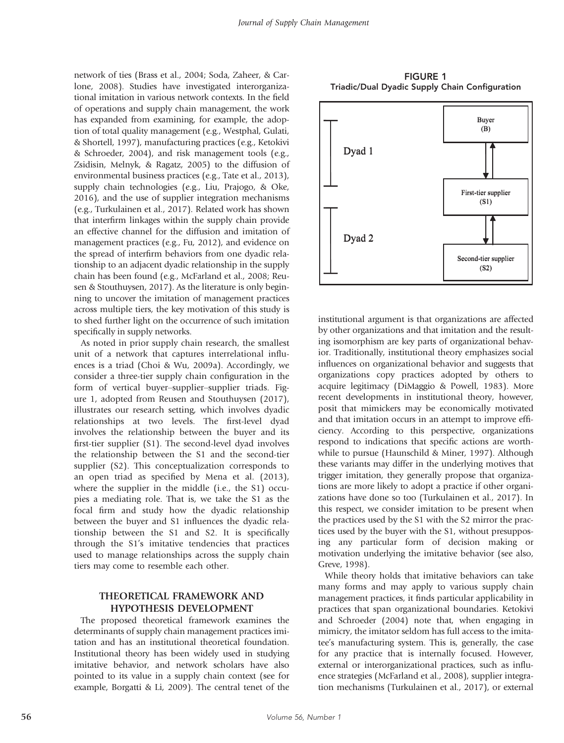network of ties (Brass et al., 2004; Soda, Zaheer, & Carlone, 2008). Studies have investigated interorganizational imitation in various network contexts. In the field of operations and supply chain management, the work has expanded from examining, for example, the adoption of total quality management (e.g., Westphal, Gulati, & Shortell, 1997), manufacturing practices (e.g., Ketokivi & Schroeder, 2004), and risk management tools (e.g., Zsidisin, Melnyk, & Ragatz, 2005) to the diffusion of environmental business practices (e.g., Tate et al., 2013), supply chain technologies (e.g., Liu, Prajogo, & Oke, 2016), and the use of supplier integration mechanisms (e.g., Turkulainen et al., 2017). Related work has shown that interfirm linkages within the supply chain provide an effective channel for the diffusion and imitation of management practices (e.g., Fu, 2012), and evidence on the spread of interfirm behaviors from one dyadic relationship to an adjacent dyadic relationship in the supply chain has been found (e.g., McFarland et al., 2008; Reusen & Stouthuysen, 2017). As the literature is only beginning to uncover the imitation of management practices across multiple tiers, the key motivation of this study is to shed further light on the occurrence of such imitation specifically in supply networks.

As noted in prior supply chain research, the smallest unit of a network that captures interrelational influences is a triad (Choi & Wu, 2009a). Accordingly, we consider a three-tier supply chain configuration in the form of vertical buyer–supplier–supplier triads. Figure 1, adopted from Reusen and Stouthuysen (2017), illustrates our research setting, which involves dyadic relationships at two levels. The first-level dyad involves the relationship between the buyer and its first-tier supplier (S1). The second-level dyad involves the relationship between the S1 and the second-tier supplier (S2). This conceptualization corresponds to an open triad as specified by Mena et al. (2013), where the supplier in the middle (i.e., the S1) occupies a mediating role. That is, we take the S1 as the focal firm and study how the dyadic relationship between the buyer and S1 influences the dyadic relationship between the S1 and S2. It is specifically through the S1's imitative tendencies that practices used to manage relationships across the supply chain tiers may come to resemble each other.

#### THEORETICAL FRAMEWORK AND HYPOTHESIS DEVELOPMENT

The proposed theoretical framework examines the determinants of supply chain management practices imitation and has an institutional theoretical foundation. Institutional theory has been widely used in studying imitative behavior, and network scholars have also pointed to its value in a supply chain context (see for example, Borgatti & Li, 2009). The central tenet of the

FIGURE 1 Triadic/Dual Dyadic Supply Chain Configuration



institutional argument is that organizations are affected by other organizations and that imitation and the resulting isomorphism are key parts of organizational behavior. Traditionally, institutional theory emphasizes social influences on organizational behavior and suggests that organizations copy practices adopted by others to acquire legitimacy (DiMaggio & Powell, 1983). More recent developments in institutional theory, however, posit that mimickers may be economically motivated and that imitation occurs in an attempt to improve efficiency. According to this perspective, organizations respond to indications that specific actions are worthwhile to pursue (Haunschild & Miner, 1997). Although these variants may differ in the underlying motives that trigger imitation, they generally propose that organizations are more likely to adopt a practice if other organizations have done so too (Turkulainen et al., 2017). In this respect, we consider imitation to be present when the practices used by the S1 with the S2 mirror the practices used by the buyer with the S1, without presupposing any particular form of decision making or motivation underlying the imitative behavior (see also, Greve, 1998).

While theory holds that imitative behaviors can take many forms and may apply to various supply chain management practices, it finds particular applicability in practices that span organizational boundaries. Ketokivi and Schroeder (2004) note that, when engaging in mimicry, the imitator seldom has full access to the imitatee's manufacturing system. This is, generally, the case for any practice that is internally focused. However, external or interorganizational practices, such as influence strategies (McFarland et al., 2008), supplier integration mechanisms (Turkulainen et al., 2017), or external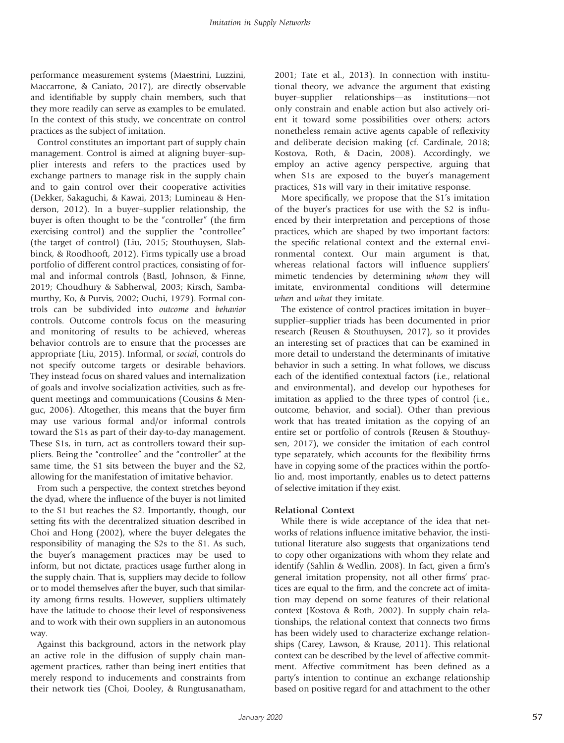performance measurement systems (Maestrini, Luzzini, Maccarrone, & Caniato, 2017), are directly observable and identifiable by supply chain members, such that they more readily can serve as examples to be emulated. In the context of this study, we concentrate on control practices as the subject of imitation.

Control constitutes an important part of supply chain management. Control is aimed at aligning buyer–supplier interests and refers to the practices used by exchange partners to manage risk in the supply chain and to gain control over their cooperative activities (Dekker, Sakaguchi, & Kawai, 2013; Lumineau & Henderson, 2012). In a buyer–supplier relationship, the buyer is often thought to be the "controller" (the firm exercising control) and the supplier the "controllee" (the target of control) (Liu, 2015; Stouthuysen, Slabbinck, & Roodhooft, 2012). Firms typically use a broad portfolio of different control practices, consisting of formal and informal controls (Bastl, Johnson, & Finne, 2019; Choudhury & Sabherwal, 2003; Kirsch, Sambamurthy, Ko, & Purvis, 2002; Ouchi, 1979). Formal controls can be subdivided into outcome and behavior controls. Outcome controls focus on the measuring and monitoring of results to be achieved, whereas behavior controls are to ensure that the processes are appropriate (Liu, 2015). Informal, or social, controls do not specify outcome targets or desirable behaviors. They instead focus on shared values and internalization of goals and involve socialization activities, such as frequent meetings and communications (Cousins & Menguc, 2006). Altogether, this means that the buyer firm may use various formal and/or informal controls toward the S1s as part of their day-to-day management. These S1s, in turn, act as controllers toward their suppliers. Being the "controllee" and the "controller" at the same time, the S1 sits between the buyer and the S2, allowing for the manifestation of imitative behavior.

From such a perspective, the context stretches beyond the dyad, where the influence of the buyer is not limited to the S1 but reaches the S2. Importantly, though, our setting fits with the decentralized situation described in Choi and Hong (2002), where the buyer delegates the responsibility of managing the S2s to the S1. As such, the buyer's management practices may be used to inform, but not dictate, practices usage further along in the supply chain. That is, suppliers may decide to follow or to model themselves after the buyer, such that similarity among firms results. However, suppliers ultimately have the latitude to choose their level of responsiveness and to work with their own suppliers in an autonomous way.

Against this background, actors in the network play an active role in the diffusion of supply chain management practices, rather than being inert entities that merely respond to inducements and constraints from their network ties (Choi, Dooley, & Rungtusanatham,

2001; Tate et al., 2013). In connection with institutional theory, we advance the argument that existing buyer–supplier relationships—as institutions—not only constrain and enable action but also actively orient it toward some possibilities over others; actors nonetheless remain active agents capable of reflexivity and deliberate decision making (cf. Cardinale, 2018; Kostova, Roth, & Dacin, 2008). Accordingly, we employ an active agency perspective, arguing that when S1s are exposed to the buyer's management practices, S1s will vary in their imitative response.

More specifically, we propose that the S1's imitation of the buyer's practices for use with the S2 is influenced by their interpretation and perceptions of those practices, which are shaped by two important factors: the specific relational context and the external environmental context. Our main argument is that, whereas relational factors will influence suppliers' mimetic tendencies by determining whom they will imitate, environmental conditions will determine when and what they imitate.

The existence of control practices imitation in buyer– supplier–supplier triads has been documented in prior research (Reusen & Stouthuysen, 2017), so it provides an interesting set of practices that can be examined in more detail to understand the determinants of imitative behavior in such a setting. In what follows, we discuss each of the identified contextual factors (i.e., relational and environmental), and develop our hypotheses for imitation as applied to the three types of control (i.e., outcome, behavior, and social). Other than previous work that has treated imitation as the copying of an entire set or portfolio of controls (Reusen & Stouthuysen, 2017), we consider the imitation of each control type separately, which accounts for the flexibility firms have in copying some of the practices within the portfolio and, most importantly, enables us to detect patterns of selective imitation if they exist.

#### Relational Context

While there is wide acceptance of the idea that networks of relations influence imitative behavior, the institutional literature also suggests that organizations tend to copy other organizations with whom they relate and identify (Sahlin & Wedlin, 2008). In fact, given a firm's general imitation propensity, not all other firms' practices are equal to the firm, and the concrete act of imitation may depend on some features of their relational context (Kostova & Roth, 2002). In supply chain relationships, the relational context that connects two firms has been widely used to characterize exchange relationships (Carey, Lawson, & Krause, 2011). This relational context can be described by the level of affective commitment. Affective commitment has been defined as a party's intention to continue an exchange relationship based on positive regard for and attachment to the other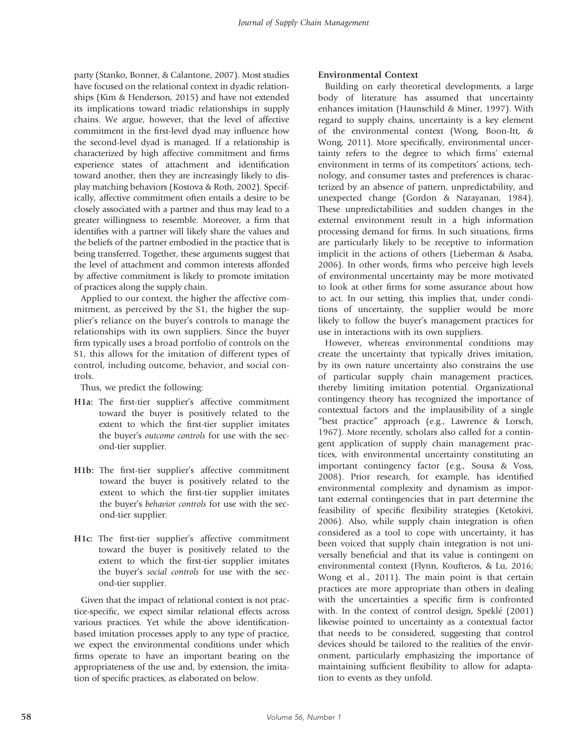party (Stanko, Bonner, & Calantone, 2007). Most studies have focused on the relational context in dyadic relationships (Kim & Henderson, 2015) and have not extended its implications toward triadic relationships in supply chains. We argue, however, that the level of affective commitment in the first-level dyad may influence how the second-level dyad is managed. If a relationship is characterized by high affective commitment and firms experience states of attachment and identification toward another, then they are increasingly likely to display matching behaviors (Kostova & Roth, 2002). Specifically, affective commitment often entails a desire to be closely associated with a partner and thus may lead to a greater willingness to resemble. Moreover, a firm that identifies with a partner will likely share the values and the beliefs of the partner embodied in the practice that is being transferred. Together, these arguments suggest that the level of attachment and common interests afforded by affective commitment is likely to promote imitation of practices along the supply chain.

Applied to our context, the higher the affective commitment, as perceived by the S1, the higher the supplier's reliance on the buyer's controls to manage the relationships with its own suppliers. Since the buyer firm typically uses a broad portfolio of controls on the S1, this allows for the imitation of different types of control, including outcome, behavior, and social controls.

Thus, we predict the following:

- H1a: The first-tier supplier's affective commitment toward the buyer is positively related to the extent to which the first-tier supplier imitates the buyer's outcome controls for use with the second-tier supplier.
- H1b: The first-tier supplier's affective commitment toward the buyer is positively related to the extent to which the first-tier supplier imitates the buyer's behavior controls for use with the second-tier supplier.
- H1c: The first-tier supplier's affective commitment toward the buyer is positively related to the extent to which the first-tier supplier imitates the buyer's social controls for use with the second-tier supplier.

Given that the impact of relational context is not practice-specific, we expect similar relational effects across various practices. Yet while the above identificationbased imitation processes apply to any type of practice, we expect the environmental conditions under which firms operate to have an important bearing on the appropriateness of the use and, by extension, the imitation of specific practices, as elaborated on below.

## Environmental Context

Building on early theoretical developments, a large body of literature has assumed that uncertainty enhances imitation (Haunschild & Miner, 1997). With regard to supply chains, uncertainty is a key element of the environmental context (Wong, Boon-Itt, & Wong, 2011). More specifically, environmental uncertainty refers to the degree to which firms' external environment in terms of its competitors' actions, technology, and consumer tastes and preferences is characterized by an absence of pattern, unpredictability, and unexpected change (Gordon & Narayanan, 1984). These unpredictabilities and sudden changes in the external environment result in a high information processing demand for firms. In such situations, firms are particularly likely to be receptive to information implicit in the actions of others (Lieberman & Asaba, 2006). In other words, firms who perceive high levels of environmental uncertainty may be more motivated to look at other firms for some assurance about how to act. In our setting, this implies that, under conditions of uncertainty, the supplier would be more likely to follow the buyer's management practices for use in interactions with its own suppliers.

However, whereas environmental conditions may create the uncertainty that typically drives imitation, by its own nature uncertainty also constrains the use of particular supply chain management practices, thereby limiting imitation potential. Organizational contingency theory has recognized the importance of contextual factors and the implausibility of a single "best practice" approach (e.g., Lawrence & Lorsch, 1967). More recently, scholars also called for a contingent application of supply chain management practices, with environmental uncertainty constituting an important contingency factor (e.g., Sousa & Voss, 2008). Prior research, for example, has identified environmental complexity and dynamism as important external contingencies that in part determine the feasibility of specific flexibility strategies (Ketokivi, 2006). Also, while supply chain integration is often considered as a tool to cope with uncertainty, it has been voiced that supply chain integration is not universally beneficial and that its value is contingent on environmental context (Flynn, Koufteros, & Lu, 2016; Wong et al., 2011). The main point is that certain practices are more appropriate than others in dealing with the uncertainties a specific firm is confronted with. In the context of control design, Speklé (2001) likewise pointed to uncertainty as a contextual factor that needs to be considered, suggesting that control devices should be tailored to the realities of the environment, particularly emphasizing the importance of maintaining sufficient flexibility to allow for adaptation to events as they unfold.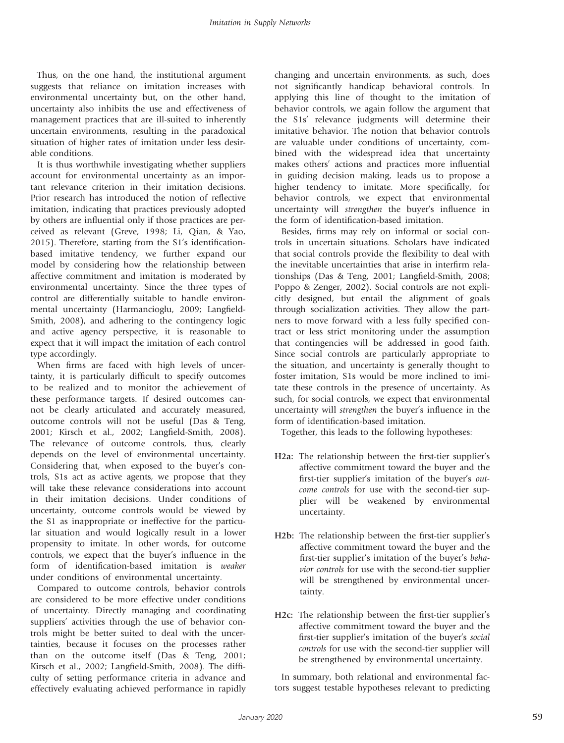Thus, on the one hand, the institutional argument suggests that reliance on imitation increases with environmental uncertainty but, on the other hand, uncertainty also inhibits the use and effectiveness of management practices that are ill-suited to inherently uncertain environments, resulting in the paradoxical situation of higher rates of imitation under less desirable conditions.

It is thus worthwhile investigating whether suppliers account for environmental uncertainty as an important relevance criterion in their imitation decisions. Prior research has introduced the notion of reflective imitation, indicating that practices previously adopted by others are influential only if those practices are perceived as relevant (Greve, 1998; Li, Qian, & Yao, 2015). Therefore, starting from the S1's identificationbased imitative tendency, we further expand our model by considering how the relationship between affective commitment and imitation is moderated by environmental uncertainty. Since the three types of control are differentially suitable to handle environmental uncertainty (Harmancioglu, 2009; Langfield-Smith, 2008), and adhering to the contingency logic and active agency perspective, it is reasonable to expect that it will impact the imitation of each control type accordingly.

When firms are faced with high levels of uncertainty, it is particularly difficult to specify outcomes to be realized and to monitor the achievement of these performance targets. If desired outcomes cannot be clearly articulated and accurately measured, outcome controls will not be useful (Das & Teng, 2001; Kirsch et al., 2002; Langfield-Smith, 2008). The relevance of outcome controls, thus, clearly depends on the level of environmental uncertainty. Considering that, when exposed to the buyer's controls, S1s act as active agents, we propose that they will take these relevance considerations into account in their imitation decisions. Under conditions of uncertainty, outcome controls would be viewed by the S1 as inappropriate or ineffective for the particular situation and would logically result in a lower propensity to imitate. In other words, for outcome controls, we expect that the buyer's influence in the form of identification-based imitation is weaker under conditions of environmental uncertainty.

Compared to outcome controls, behavior controls are considered to be more effective under conditions of uncertainty. Directly managing and coordinating suppliers' activities through the use of behavior controls might be better suited to deal with the uncertainties, because it focuses on the processes rather than on the outcome itself (Das & Teng, 2001; Kirsch et al., 2002; Langfield-Smith, 2008). The difficulty of setting performance criteria in advance and effectively evaluating achieved performance in rapidly

changing and uncertain environments, as such, does not significantly handicap behavioral controls. In applying this line of thought to the imitation of behavior controls, we again follow the argument that the S1s' relevance judgments will determine their imitative behavior. The notion that behavior controls are valuable under conditions of uncertainty, combined with the widespread idea that uncertainty makes others' actions and practices more influential in guiding decision making, leads us to propose a higher tendency to imitate. More specifically, for behavior controls, we expect that environmental uncertainty will strengthen the buyer's influence in the form of identification-based imitation.

Besides, firms may rely on informal or social controls in uncertain situations. Scholars have indicated that social controls provide the flexibility to deal with the inevitable uncertainties that arise in interfirm relationships (Das & Teng, 2001; Langfield-Smith, 2008; Poppo & Zenger, 2002). Social controls are not explicitly designed, but entail the alignment of goals through socialization activities. They allow the partners to move forward with a less fully specified contract or less strict monitoring under the assumption that contingencies will be addressed in good faith. Since social controls are particularly appropriate to the situation, and uncertainty is generally thought to foster imitation, S1s would be more inclined to imitate these controls in the presence of uncertainty. As such, for social controls, we expect that environmental uncertainty will strengthen the buyer's influence in the form of identification-based imitation.

Together, this leads to the following hypotheses:

- H2a: The relationship between the first-tier supplier's affective commitment toward the buyer and the first-tier supplier's imitation of the buyer's outcome controls for use with the second-tier supplier will be weakened by environmental uncertainty.
- H2b: The relationship between the first-tier supplier's affective commitment toward the buyer and the first-tier supplier's imitation of the buyer's behavior controls for use with the second-tier supplier will be strengthened by environmental uncertainty.
- H2c: The relationship between the first-tier supplier's affective commitment toward the buyer and the first-tier supplier's imitation of the buyer's social controls for use with the second-tier supplier will be strengthened by environmental uncertainty.

In summary, both relational and environmental factors suggest testable hypotheses relevant to predicting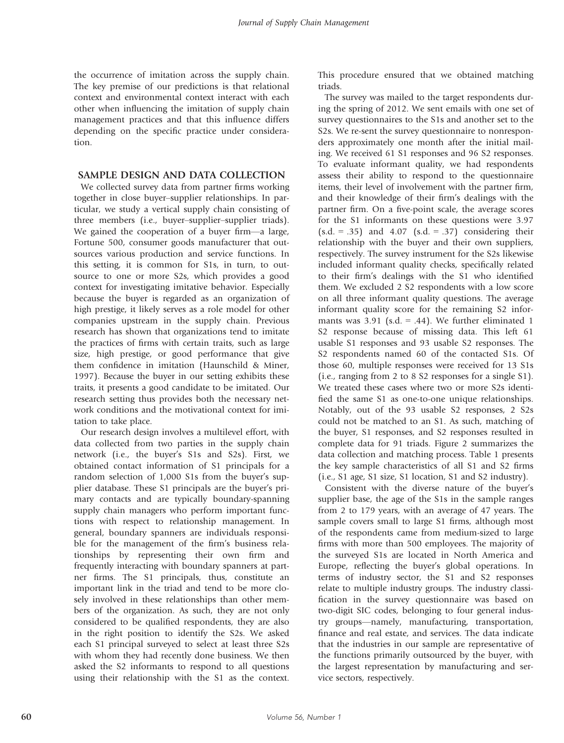the occurrence of imitation across the supply chain. The key premise of our predictions is that relational context and environmental context interact with each other when influencing the imitation of supply chain management practices and that this influence differs depending on the specific practice under consideration.

### SAMPLE DESIGN AND DATA COLLECTION

We collected survey data from partner firms working together in close buyer–supplier relationships. In particular, we study a vertical supply chain consisting of three members (i.e., buyer–supplier–supplier triads). We gained the cooperation of a buyer firm—a large, Fortune 500, consumer goods manufacturer that outsources various production and service functions. In this setting, it is common for S1s, in turn, to outsource to one or more S2s, which provides a good context for investigating imitative behavior. Especially because the buyer is regarded as an organization of high prestige, it likely serves as a role model for other companies upstream in the supply chain. Previous research has shown that organizations tend to imitate the practices of firms with certain traits, such as large size, high prestige, or good performance that give them confidence in imitation (Haunschild & Miner, 1997). Because the buyer in our setting exhibits these traits, it presents a good candidate to be imitated. Our research setting thus provides both the necessary network conditions and the motivational context for imitation to take place.

Our research design involves a multilevel effort, with data collected from two parties in the supply chain network (i.e., the buyer's S1s and S2s). First, we obtained contact information of S1 principals for a random selection of 1,000 S1s from the buyer's supplier database. These S1 principals are the buyer's primary contacts and are typically boundary-spanning supply chain managers who perform important functions with respect to relationship management. In general, boundary spanners are individuals responsible for the management of the firm's business relationships by representing their own firm and frequently interacting with boundary spanners at partner firms. The S1 principals, thus, constitute an important link in the triad and tend to be more closely involved in these relationships than other members of the organization. As such, they are not only considered to be qualified respondents, they are also in the right position to identify the S2s. We asked each S1 principal surveyed to select at least three S2s with whom they had recently done business. We then asked the S2 informants to respond to all questions using their relationship with the S1 as the context. This procedure ensured that we obtained matching triads.

The survey was mailed to the target respondents during the spring of 2012. We sent emails with one set of survey questionnaires to the S1s and another set to the S2s. We re-sent the survey questionnaire to nonresponders approximately one month after the initial mailing. We received 61 S1 responses and 96 S2 responses. To evaluate informant quality, we had respondents assess their ability to respond to the questionnaire items, their level of involvement with the partner firm, and their knowledge of their firm's dealings with the partner firm. On a five-point scale, the average scores for the S1 informants on these questions were 3.97  $(s.d. = .35)$  and  $4.07$   $(s.d. = .37)$  considering their relationship with the buyer and their own suppliers, respectively. The survey instrument for the S2s likewise included informant quality checks, specifically related to their firm's dealings with the S1 who identified them. We excluded 2 S2 respondents with a low score on all three informant quality questions. The average informant quality score for the remaining S2 informants was  $3.91$  (s.d. = .44). We further eliminated 1 S2 response because of missing data. This left 61 usable S1 responses and 93 usable S2 responses. The S2 respondents named 60 of the contacted S1s. Of those 60, multiple responses were received for 13 S1s (i.e., ranging from 2 to 8 S2 responses for a single S1). We treated these cases where two or more S2s identified the same S1 as one-to-one unique relationships. Notably, out of the 93 usable S2 responses, 2 S2s could not be matched to an S1. As such, matching of the buyer, S1 responses, and S2 responses resulted in complete data for 91 triads. Figure 2 summarizes the data collection and matching process. Table 1 presents the key sample characteristics of all S1 and S2 firms (i.e., S1 age, S1 size, S1 location, S1 and S2 industry).

Consistent with the diverse nature of the buyer's supplier base, the age of the S1s in the sample ranges from 2 to 179 years, with an average of 47 years. The sample covers small to large S1 firms, although most of the respondents came from medium-sized to large firms with more than 500 employees. The majority of the surveyed S1s are located in North America and Europe, reflecting the buyer's global operations. In terms of industry sector, the S1 and S2 responses relate to multiple industry groups. The industry classification in the survey questionnaire was based on two-digit SIC codes, belonging to four general industry groups—namely, manufacturing, transportation, finance and real estate, and services. The data indicate that the industries in our sample are representative of the functions primarily outsourced by the buyer, with the largest representation by manufacturing and service sectors, respectively.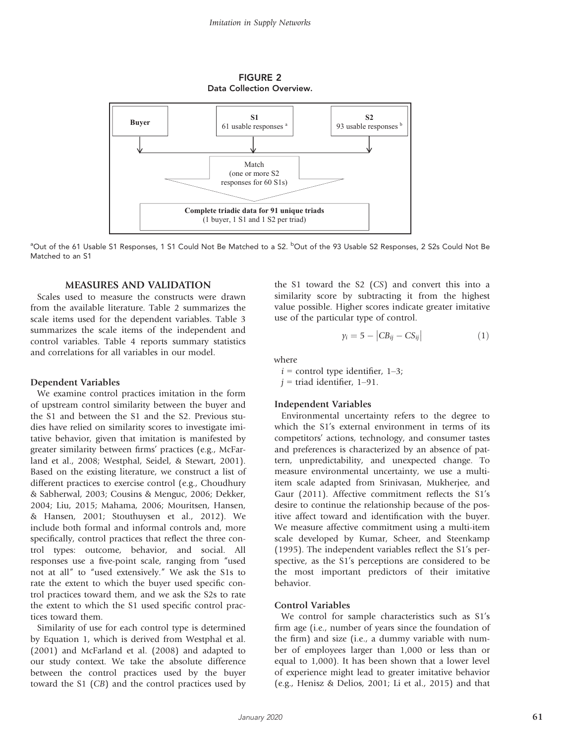

FIGURE 2 Data Collection Overview.

<sup>a</sup>Out of the 61 Usable S1 Responses, 1 S1 Could Not Be Matched to a S2. <sup>b</sup>Out of the 93 Usable S2 Responses, 2 S2s Could Not Be Matched to an S1

#### MEASURES AND VALIDATION

Scales used to measure the constructs were drawn from the available literature. Table 2 summarizes the scale items used for the dependent variables. Table 3 summarizes the scale items of the independent and control variables. Table 4 reports summary statistics and correlations for all variables in our model.

#### Dependent Variables

We examine control practices imitation in the form of upstream control similarity between the buyer and the S1 and between the S1 and the S2. Previous studies have relied on similarity scores to investigate imitative behavior, given that imitation is manifested by greater similarity between firms' practices (e.g., McFarland et al., 2008; Westphal, Seidel, & Stewart, 2001). Based on the existing literature, we construct a list of different practices to exercise control (e.g., Choudhury & Sabherwal, 2003; Cousins & Menguc, 2006; Dekker, 2004; Liu, 2015; Mahama, 2006; Mouritsen, Hansen, & Hansen, 2001; Stouthuysen et al., 2012). We include both formal and informal controls and, more specifically, control practices that reflect the three control types: outcome, behavior, and social. All responses use a five-point scale, ranging from "used not at all" to "used extensively." We ask the S1s to rate the extent to which the buyer used specific control practices toward them, and we ask the S2s to rate the extent to which the S1 used specific control practices toward them.

Similarity of use for each control type is determined by Equation 1, which is derived from Westphal et al. (2001) and McFarland et al. (2008) and adapted to our study context. We take the absolute difference between the control practices used by the buyer toward the S1 (CB) and the control practices used by the S1 toward the S2 (CS) and convert this into a similarity score by subtracting it from the highest value possible. Higher scores indicate greater imitative use of the particular type of control.

$$
\gamma_i = 5 - |CB_{ij} - CS_{ij}| \tag{1}
$$

where

 $i =$  control type identifier, 1-3;  $j =$  triad identifier, 1–91.

#### Independent Variables

Environmental uncertainty refers to the degree to which the S1's external environment in terms of its competitors' actions, technology, and consumer tastes and preferences is characterized by an absence of pattern, unpredictability, and unexpected change. To measure environmental uncertainty, we use a multiitem scale adapted from Srinivasan, Mukherjee, and Gaur (2011). Affective commitment reflects the S1's desire to continue the relationship because of the positive affect toward and identification with the buyer. We measure affective commitment using a multi-item scale developed by Kumar, Scheer, and Steenkamp (1995). The independent variables reflect the S1's perspective, as the S1's perceptions are considered to be the most important predictors of their imitative behavior.

#### Control Variables

We control for sample characteristics such as S1's firm age (i.e., number of years since the foundation of the firm) and size (i.e., a dummy variable with number of employees larger than 1,000 or less than or equal to 1,000). It has been shown that a lower level of experience might lead to greater imitative behavior (e.g., Henisz & Delios, 2001; Li et al., 2015) and that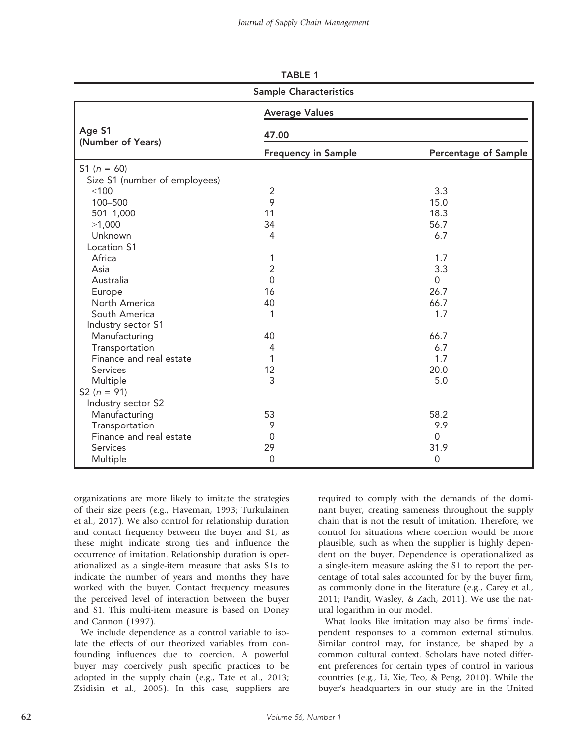|                               | <b>Sample Characteristics</b> |                      |
|-------------------------------|-------------------------------|----------------------|
|                               | <b>Average Values</b>         |                      |
| Age S1<br>(Number of Years)   | 47.00                         |                      |
|                               | <b>Frequency in Sample</b>    | Percentage of Sample |
| $S1(n = 60)$                  |                               |                      |
| Size S1 (number of employees) |                               |                      |
| < 100                         | $\overline{2}$                | 3.3                  |
| 100-500                       | 9                             | 15.0                 |
| $501 - 1,000$                 | 11                            | 18.3                 |
| >1,000                        | 34                            | 56.7                 |
| Unknown                       | $\overline{4}$                | 6.7                  |
| Location S1                   |                               |                      |
| Africa                        | 1                             | 1.7                  |
| Asia                          | $\overline{2}$                | 3.3                  |
| Australia                     | $\mathbf 0$                   | $\Omega$             |
| Europe                        | 16                            | 26.7                 |
| North America                 | 40                            | 66.7                 |
| South America                 | 1                             | 1.7                  |
| Industry sector S1            |                               |                      |
| Manufacturing                 | 40                            | 66.7                 |
| Transportation                | 4                             | 6.7                  |
| Finance and real estate       | 1                             | 1.7                  |
| <b>Services</b>               | 12                            | 20.0                 |
| Multiple                      | 3                             | 5.0                  |
| S2 ( $n = 91$ )               |                               |                      |
| Industry sector S2            |                               |                      |
| Manufacturing                 | 53                            | 58.2                 |
| Transportation                | 9                             | 9.9                  |
| Finance and real estate       | $\Omega$                      | $\mathbf 0$          |
| Services                      | 29                            | 31.9                 |
| Multiple                      | $\mathbf 0$                   | 0                    |

TABLE 1

organizations are more likely to imitate the strategies of their size peers (e.g., Haveman, 1993; Turkulainen et al., 2017). We also control for relationship duration and contact frequency between the buyer and S1, as these might indicate strong ties and influence the occurrence of imitation. Relationship duration is operationalized as a single-item measure that asks S1s to indicate the number of years and months they have worked with the buyer. Contact frequency measures the perceived level of interaction between the buyer and S1. This multi-item measure is based on Doney and Cannon (1997).

We include dependence as a control variable to isolate the effects of our theorized variables from confounding influences due to coercion. A powerful buyer may coercively push specific practices to be adopted in the supply chain (e.g., Tate et al., 2013; Zsidisin et al., 2005). In this case, suppliers are

required to comply with the demands of the dominant buyer, creating sameness throughout the supply chain that is not the result of imitation. Therefore, we control for situations where coercion would be more plausible, such as when the supplier is highly dependent on the buyer. Dependence is operationalized as a single-item measure asking the S1 to report the percentage of total sales accounted for by the buyer firm, as commonly done in the literature (e.g., Carey et al., 2011; Pandit, Wasley, & Zach, 2011). We use the natural logarithm in our model.

What looks like imitation may also be firms' independent responses to a common external stimulus. Similar control may, for instance, be shaped by a common cultural context. Scholars have noted different preferences for certain types of control in various countries (e.g., Li, Xie, Teo, & Peng, 2010). While the buyer's headquarters in our study are in the United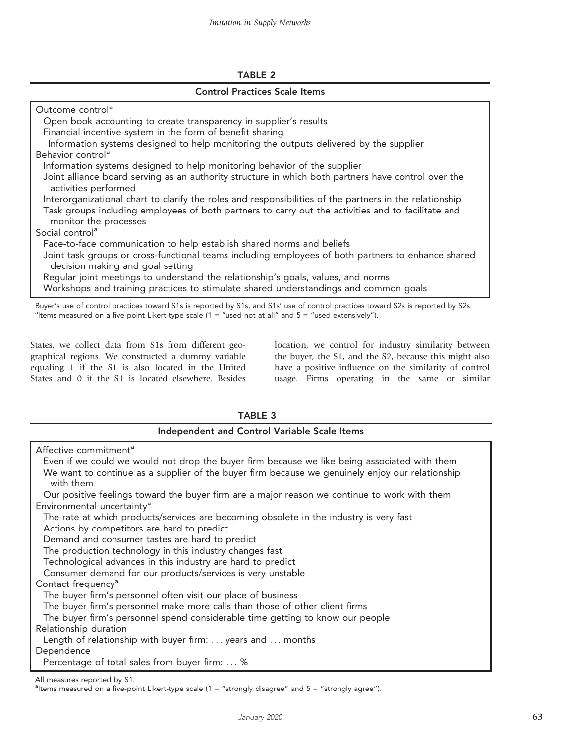|--|--|

## Control Practices Scale Items

| Outcome control <sup>a</sup>                                                                                                           |
|----------------------------------------------------------------------------------------------------------------------------------------|
| Open book accounting to create transparency in supplier's results                                                                      |
| Financial incentive system in the form of benefit sharing                                                                              |
| Information systems designed to help monitoring the outputs delivered by the supplier                                                  |
| Behavior control <sup>a</sup>                                                                                                          |
| Information systems designed to help monitoring behavior of the supplier                                                               |
| Joint alliance board serving as an authority structure in which both partners have control over the<br>activities performed            |
| Interorganizational chart to clarify the roles and responsibilities of the partners in the relationship                                |
| Task groups including employees of both partners to carry out the activities and to facilitate and<br>monitor the processes            |
| Social control <sup>a</sup>                                                                                                            |
| Face-to-face communication to help establish shared norms and beliefs                                                                  |
| Joint task groups or cross-functional teams including employees of both partners to enhance shared<br>decision making and goal setting |
| Regular joint meetings to understand the relationship's goals, values, and norms                                                       |
| Workshops and training practices to stimulate shared understandings and common goals                                                   |

Buyer's use of control practices toward S1s is reported by S1s, and S1s' use of control practices toward S2s is reported by S2s. <sup>a</sup>ltems measured on a five-point Likert-type scale (1 = "used not at all" and 5 = "used extensively").

States, we collect data from S1s from different geographical regions. We constructed a dummy variable equaling 1 if the S1 is also located in the United States and 0 if the S1 is located elsewhere. Besides location, we control for industry similarity between the buyer, the S1, and the S2, because this might also have a positive influence on the similarity of control usage. Firms operating in the same or similar

| × |
|---|
|---|

## Independent and Control Variable Scale Items

Affective commitment<sup>a</sup>

| Even if we could we would not drop the buyer firm because we like being associated with them    |  |
|-------------------------------------------------------------------------------------------------|--|
| We want to continue as a supplier of the buyer firm because we genuinely enjoy our relationship |  |
| with them                                                                                       |  |

Our positive feelings toward the buyer firm are a major reason we continue to work with them Environmental uncertainty<sup>a</sup>

The rate at which products/services are becoming obsolete in the industry is very fast

Actions by competitors are hard to predict

Demand and consumer tastes are hard to predict

The production technology in this industry changes fast

Technological advances in this industry are hard to predict

Consumer demand for our products/services is very unstable

Contact frequency<sup>a</sup>

The buyer firm's personnel often visit our place of business

The buyer firm's personnel make more calls than those of other client firms

The buyer firm's personnel spend considerable time getting to know our people

Relationship duration

Length of relationship with buyer firm: ... years and ... months

Dependence

Percentage of total sales from buyer firm: ... %

All measures reported by S1.

<sup>a</sup>ltems measured on a five-point Likert-type scale (1 = "strongly disagree" and 5 = "strongly agree").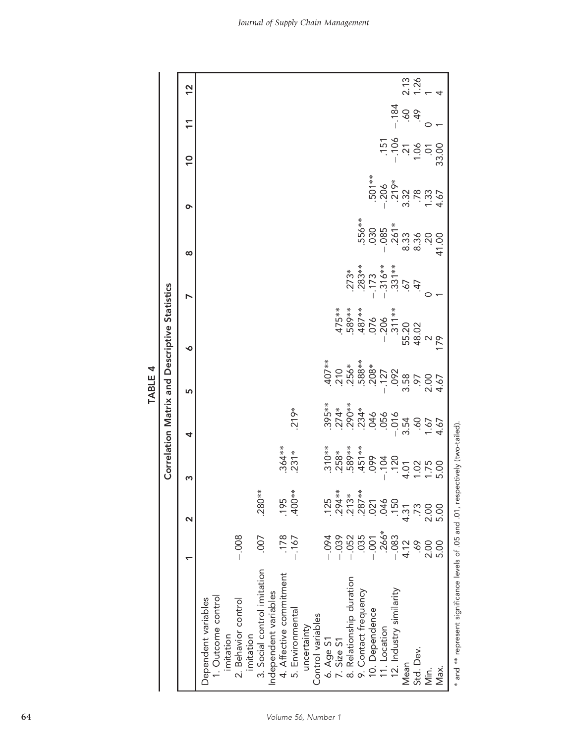|                                                                                    |          |                    |                  |       |           | Correlation Matrix and Descriptive Statistics                                                                                      |                                                             |                                                                                                                      |                                                                                     |                                                               |                  |                  |
|------------------------------------------------------------------------------------|----------|--------------------|------------------|-------|-----------|------------------------------------------------------------------------------------------------------------------------------------|-------------------------------------------------------------|----------------------------------------------------------------------------------------------------------------------|-------------------------------------------------------------------------------------|---------------------------------------------------------------|------------------|------------------|
|                                                                                    |          | N                  | ო                | 4     | <b>LO</b> | $\bullet$                                                                                                                          | ↖                                                           | ထ                                                                                                                    | ᡐ                                                                                   | $\overline{0}$                                                | $\mathbf{r}$     | $\frac{2}{3}$    |
| Dependent variables                                                                |          |                    |                  |       |           |                                                                                                                                    |                                                             |                                                                                                                      |                                                                                     |                                                               |                  |                  |
| I. Outcome control                                                                 |          |                    |                  |       |           |                                                                                                                                    |                                                             |                                                                                                                      |                                                                                     |                                                               |                  |                  |
| imitation                                                                          |          |                    |                  |       |           |                                                                                                                                    |                                                             |                                                                                                                      |                                                                                     |                                                               |                  |                  |
| 2. Behavior control                                                                | $-0.08$  |                    |                  |       |           |                                                                                                                                    |                                                             |                                                                                                                      |                                                                                     |                                                               |                  |                  |
| imitation                                                                          |          |                    |                  |       |           |                                                                                                                                    |                                                             |                                                                                                                      |                                                                                     |                                                               |                  |                  |
| 3. Social control imitation                                                        | $00$ .   | .280**             |                  |       |           |                                                                                                                                    |                                                             |                                                                                                                      |                                                                                     |                                                               |                  |                  |
|                                                                                    |          |                    |                  |       |           |                                                                                                                                    |                                                             |                                                                                                                      |                                                                                     |                                                               |                  |                  |
| Independent variables<br>4. Affective commitment                                   | .178     | .195               |                  |       |           |                                                                                                                                    |                                                             |                                                                                                                      |                                                                                     |                                                               |                  |                  |
| 5. Environmental                                                                   | $-167$   | **00*.             | $.364**$<br>231* | .219* |           |                                                                                                                                    |                                                             |                                                                                                                      |                                                                                     |                                                               |                  |                  |
| uncertainty                                                                        |          |                    |                  |       |           |                                                                                                                                    |                                                             |                                                                                                                      |                                                                                     |                                                               |                  |                  |
| Control variables                                                                  |          |                    |                  |       |           |                                                                                                                                    |                                                             |                                                                                                                      |                                                                                     |                                                               |                  |                  |
|                                                                                    | $-0.04$  | $.125$<br>$.294**$ |                  |       |           |                                                                                                                                    |                                                             |                                                                                                                      |                                                                                     |                                                               |                  |                  |
| $6.$ Age S1<br>7. Size S1                                                          | $-0.39$  |                    |                  |       |           |                                                                                                                                    |                                                             |                                                                                                                      |                                                                                     |                                                               |                  |                  |
| 8. Relationship duration                                                           | $-.052$  | $.213*$            |                  |       |           |                                                                                                                                    |                                                             |                                                                                                                      |                                                                                     |                                                               |                  |                  |
| 9. Contact frequency                                                               | .035     | $.287**$           |                  |       |           | $\begin{array}{r} 475**\\ 4589**\\ -589**\\ -487**\\ -206\\ -206\\ -206\\ -311**\\ -520\\ -311**\\ -520\\ 2\\ 2\\ 2\\ \end{array}$ | $273**$<br>$283**$<br>$283**$<br>$773**$<br>$331**$<br>$57$ |                                                                                                                      |                                                                                     |                                                               |                  |                  |
| 10. Dependence<br>11. Location                                                     | $-0.001$ | 021                |                  |       |           |                                                                                                                                    |                                                             |                                                                                                                      |                                                                                     |                                                               |                  |                  |
|                                                                                    | $.266*$  | 046                |                  |       |           |                                                                                                                                    |                                                             |                                                                                                                      |                                                                                     |                                                               |                  |                  |
| 12. Industry similarity                                                            | $-.083$  | $150$<br>$4.31$    |                  |       |           |                                                                                                                                    |                                                             |                                                                                                                      |                                                                                     | $-151$<br>$-106$<br>$106$<br>$106$<br>$100$<br>$100$<br>$151$ |                  |                  |
| Mean                                                                               | 4.12     |                    |                  |       |           |                                                                                                                                    |                                                             |                                                                                                                      |                                                                                     |                                                               | $-184$<br>$-184$ |                  |
| Std. Dev.                                                                          | -69      |                    |                  |       |           |                                                                                                                                    |                                                             |                                                                                                                      |                                                                                     |                                                               |                  | $2.13$<br>$1.26$ |
| in.<br>Ž                                                                           | 2.00     | $73$<br>$2.00$     |                  |       |           |                                                                                                                                    |                                                             |                                                                                                                      |                                                                                     |                                                               |                  |                  |
| Max.                                                                               | 5.00     | 5.00               |                  |       |           | 179                                                                                                                                |                                                             | $556**$<br>$550$<br>$-030$<br>$-035$<br>$-035$<br>$-035$<br>$-035$<br>$-035$<br>$-035$<br>$-035$<br>$-035$<br>$-035$ | $501**$<br>$-206$<br>$-219*$<br>$-329*$<br>$-329*$<br>$-329*$<br>$-335*$<br>$-4.67$ |                                                               |                  |                  |
| * and *** represent significance levels of .05 and .01, respectively (two-tailed). |          |                    |                  |       |           |                                                                                                                                    |                                                             |                                                                                                                      |                                                                                     |                                                               |                  |                  |

TABLE 4

TABLE 4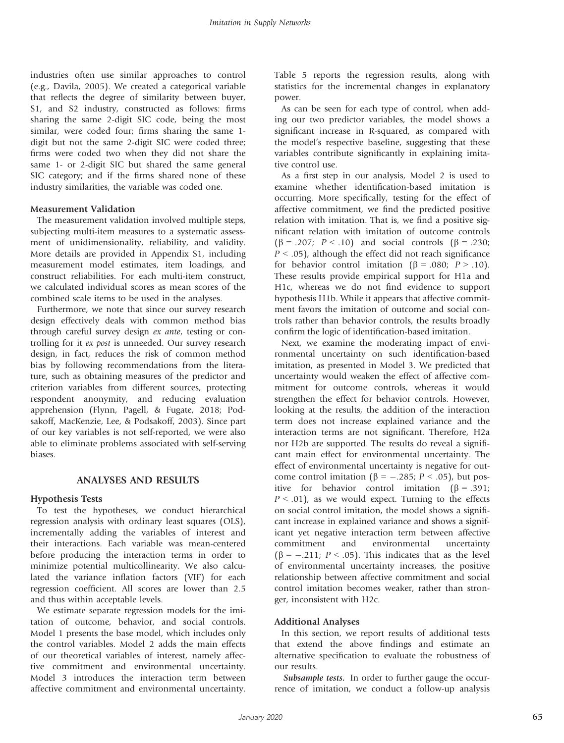industries often use similar approaches to control (e.g., Davila, 2005). We created a categorical variable that reflects the degree of similarity between buyer, S1, and S2 industry, constructed as follows: firms sharing the same 2-digit SIC code, being the most similar, were coded four; firms sharing the same 1 digit but not the same 2-digit SIC were coded three; firms were coded two when they did not share the same 1- or 2-digit SIC but shared the same general SIC category; and if the firms shared none of these industry similarities, the variable was coded one.

#### Measurement Validation

The measurement validation involved multiple steps, subjecting multi-item measures to a systematic assessment of unidimensionality, reliability, and validity. More details are provided in Appendix S1, including measurement model estimates, item loadings, and construct reliabilities. For each multi-item construct, we calculated individual scores as mean scores of the combined scale items to be used in the analyses.

Furthermore, we note that since our survey research design effectively deals with common method bias through careful survey design ex ante, testing or controlling for it ex post is unneeded. Our survey research design, in fact, reduces the risk of common method bias by following recommendations from the literature, such as obtaining measures of the predictor and criterion variables from different sources, protecting respondent anonymity, and reducing evaluation apprehension (Flynn, Pagell, & Fugate, 2018; Podsakoff, MacKenzie, Lee, & Podsakoff, 2003). Since part of our key variables is not self-reported, we were also able to eliminate problems associated with self-serving biases.

#### ANALYSES AND RESULTS

#### Hypothesis Tests

To test the hypotheses, we conduct hierarchical regression analysis with ordinary least squares (OLS), incrementally adding the variables of interest and their interactions. Each variable was mean-centered before producing the interaction terms in order to minimize potential multicollinearity. We also calculated the variance inflation factors (VIF) for each regression coefficient. All scores are lower than 2.5 and thus within acceptable levels.

We estimate separate regression models for the imitation of outcome, behavior, and social controls. Model 1 presents the base model, which includes only the control variables. Model 2 adds the main effects of our theoretical variables of interest, namely affective commitment and environmental uncertainty. Model 3 introduces the interaction term between affective commitment and environmental uncertainty. Table 5 reports the regression results, along with statistics for the incremental changes in explanatory power.

As can be seen for each type of control, when adding our two predictor variables, the model shows a significant increase in R-squared, as compared with the model's respective baseline, suggesting that these variables contribute significantly in explaining imitative control use.

As a first step in our analysis, Model 2 is used to examine whether identification-based imitation is occurring. More specifically, testing for the effect of affective commitment, we find the predicted positive relation with imitation. That is, we find a positive significant relation with imitation of outcome controls  $(\beta = .207; P < .10)$  and social controls  $(\beta = .230;$  $P < .05$ ), although the effect did not reach significance for behavior control imitation ( $\beta$  = .080; P > .10). These results provide empirical support for H1a and H1c, whereas we do not find evidence to support hypothesis H1b. While it appears that affective commitment favors the imitation of outcome and social controls rather than behavior controls, the results broadly confirm the logic of identification-based imitation.

Next, we examine the moderating impact of environmental uncertainty on such identification-based imitation, as presented in Model 3. We predicted that uncertainty would weaken the effect of affective commitment for outcome controls, whereas it would strengthen the effect for behavior controls. However, looking at the results, the addition of the interaction term does not increase explained variance and the interaction terms are not significant. Therefore, H2a nor H2b are supported. The results do reveal a significant main effect for environmental uncertainty. The effect of environmental uncertainty is negative for outcome control imitation ( $\beta$  = -.285; *P* < .05), but positive for behavior control imitation  $(\beta = .391)$ ;  $P < .01$ ), as we would expect. Turning to the effects on social control imitation, the model shows a significant increase in explained variance and shows a significant yet negative interaction term between affective commitment and environmental uncertainty  $(\beta = -.211; P < .05)$ . This indicates that as the level of environmental uncertainty increases, the positive relationship between affective commitment and social control imitation becomes weaker, rather than stronger, inconsistent with H2c.

#### Additional Analyses

In this section, we report results of additional tests that extend the above findings and estimate an alternative specification to evaluate the robustness of our results.

Subsample tests. In order to further gauge the occurrence of imitation, we conduct a follow-up analysis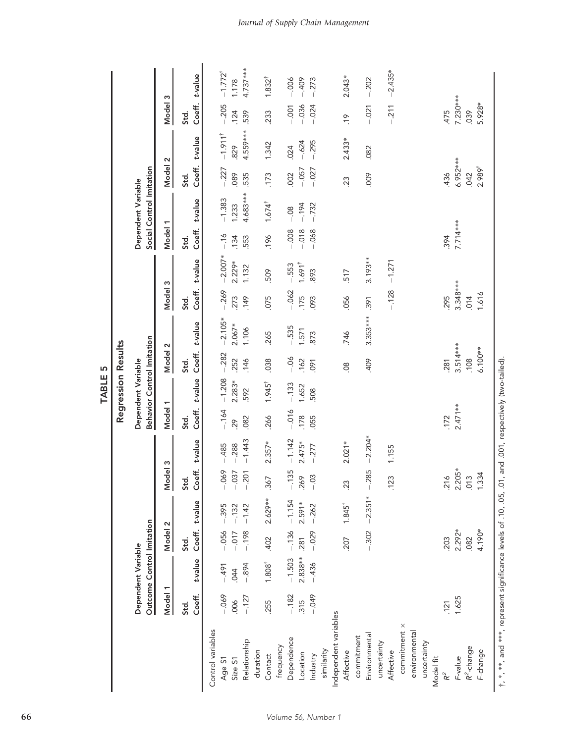|                                                                |                |                                                 |          |                   |          |                                           |                        | Regression Results                                      |                        |            |                        |                   |                        |                                                |                        |                    |               |                    |
|----------------------------------------------------------------|----------------|-------------------------------------------------|----------|-------------------|----------|-------------------------------------------|------------------------|---------------------------------------------------------|------------------------|------------|------------------------|-------------------|------------------------|------------------------------------------------|------------------------|--------------------|---------------|--------------------|
|                                                                |                | Outcome Control Imitation<br>Dependent Variable |          |                   |          |                                           |                        | <b>Behavior Control Imitation</b><br>Dependent Variable |                        |            |                        |                   |                        | Social Control Imitation<br>Dependent Variable |                        |                    |               |                    |
|                                                                | Model 1        |                                                 | Model 2  |                   | Model 3  |                                           | Model 1                |                                                         | Model 2                |            | Model 3                |                   | Model 1                |                                                | Model 2                |                    | Model 3       |                    |
|                                                                | Coeff.<br>Std. | t-value                                         | Std.     | Coeff. t-value    | Std.     | Coeff. t-value                            | Coeff. t-value<br>Std. |                                                         | Coeff. t-value<br>Std. |            | Coeff. t-value<br>Std. |                   | Coeff. t-value<br>Std. |                                                | Coeff. t-value<br>Std. |                    | Std.          | Coeff. t-value     |
| Control variables                                              |                |                                                 |          |                   |          |                                           |                        |                                                         |                        |            |                        |                   |                        |                                                |                        |                    |               |                    |
| Age S1                                                         | $-0.069$       | $-491$                                          | $-056$   | $-.395$           | $-0.069$ | $-485$                                    | $-164$                 | $-1.208$                                                | $-.282$                | $-2.105*$  | $-.269$                | $-2.007*$         | $-16$                  | $-1.383$                                       | $-.227$                | $-1.911^{\dagger}$ | $-.205$       | $-1.772^{\dagger}$ |
| Size S1                                                        | 006            | 044                                             | $-0.07$  | $-.132$           | $-.037$  | $-.288$                                   | 29                     | $2.283*$                                                | 252                    | $2.067*$   | 273                    | $2.229*$          | .134                   | 1.233                                          | .089                   | .829               | .124          | 1.178              |
| Relationship                                                   | $-.127$        | $-0.894$                                        | $-.198$  | $-1.42$           | $-.201$  | $-1.443$                                  | .082                   | 592                                                     | .146                   | 1.106      | .149                   | 1.132             | 553                    | 4.683***                                       | 535                    | 4.559***           | 539           | $4.737***$         |
| duration                                                       |                |                                                 |          |                   |          |                                           |                        |                                                         |                        |            |                        |                   |                        |                                                |                        |                    |               |                    |
| Contact                                                        | 255            | $1.808^{+}$                                     | .402     | $2.629***$        | 367      | $2.357*$                                  | .266                   | $1.945^{\dagger}$                                       | .038                   | .265       | .075                   | 509               | .196                   | $1.674^{\dagger}$                              | .173                   | 1.342              | 233           | $1.832^{t}$        |
| frequency                                                      |                |                                                 |          |                   |          |                                           |                        |                                                         |                        |            |                        |                   |                        |                                                |                        |                    |               |                    |
| Dependence                                                     | $-.182$        | $-1.503$                                        | $-.136$  | $-1.154$          | $-.135$  | $-1.142$                                  | $-0.016$               | $-.133$                                                 | $-0.6$                 | $-.535$    | $-.062$                | $-.553$           | $-0.08$                | $-0.08$                                        | .002                   | 024                | $-0.001$      | $-.006$            |
| Location                                                       | 315            | $2.838**$                                       | .281     | $2.591*$          | 269      | $2.475*$                                  | .178                   | 1.652                                                   | .162                   | 1.571      | .175                   | $1.691^{\dagger}$ | $-.018$                | $-194$                                         | $-057$                 | $-.624$            | $-.036$       | $-409$             |
| Industry                                                       | $-0.049$       | $-.436$                                         | $-0.029$ | $-.262$           | $-0.3$   | $-.277$                                   | .055                   | 508                                                     | 091                    | 873        | 093                    | 893               | $-.068$                | $-.732$                                        | $-.027$                | $-.295$            | $-.024$       | $-.273$            |
| similarity                                                     |                |                                                 |          |                   |          |                                           |                        |                                                         |                        |            |                        |                   |                        |                                                |                        |                    |               |                    |
| Independent variables                                          |                |                                                 |          |                   |          |                                           |                        |                                                         |                        |            |                        |                   |                        |                                                |                        |                    |               |                    |
| Affective                                                      |                |                                                 | .207     | $1.845^{\dagger}$ | 23       | $2.021*$                                  |                        |                                                         | $\overline{0}$         | 746        | .056                   | 517               |                        |                                                | 23                     | $2.433*$           | $\frac{6}{1}$ | 2.043*             |
| commitment                                                     |                |                                                 |          |                   |          |                                           |                        |                                                         |                        |            |                        |                   |                        |                                                |                        |                    |               |                    |
| Environmental                                                  |                |                                                 | $-.302$  | $-2.351*$         | $-.285$  | $-2.204*$                                 |                        |                                                         | 409                    | $3.353***$ | .391                   | 3.193**           |                        |                                                | .009                   | .082               | $-.021$       | $-.202$            |
| uncertainty                                                    |                |                                                 |          |                   |          |                                           |                        |                                                         |                        |            |                        |                   |                        |                                                |                        |                    |               |                    |
| Affective                                                      |                |                                                 |          |                   | .123     | 1.155                                     |                        |                                                         |                        |            | $-.128$                | $-1.271$          |                        |                                                |                        |                    | $-.211$       | $-2.435*$          |
| commitment x                                                   |                |                                                 |          |                   |          |                                           |                        |                                                         |                        |            |                        |                   |                        |                                                |                        |                    |               |                    |
| environmental                                                  |                |                                                 |          |                   |          |                                           |                        |                                                         |                        |            |                        |                   |                        |                                                |                        |                    |               |                    |
| uncertainty                                                    |                |                                                 |          |                   |          |                                           |                        |                                                         |                        |            |                        |                   |                        |                                                |                        |                    |               |                    |
| Model fit                                                      |                |                                                 |          |                   |          |                                           |                        |                                                         |                        |            |                        |                   |                        |                                                |                        |                    |               |                    |
| $\approx$                                                      | 121            |                                                 | 203      |                   | .216     |                                           | .172                   |                                                         | .281                   |            | .295                   |                   | 394                    |                                                | 436                    |                    | 475           |                    |
| F-value                                                        | 1.625          |                                                 | 2.292*   |                   | $2.205*$ |                                           | $2.471**$              |                                                         | $3.514***$             |            | 3.348***               |                   | 7.714***               |                                                | 6.952***               |                    | 7.230***      |                    |
| R <sup>2</sup> -change                                         |                |                                                 | .082     |                   | 013      |                                           |                        |                                                         | .108                   |            | .014                   |                   |                        |                                                | .042                   |                    | .039          |                    |
| F-change                                                       |                |                                                 | 4.190*   |                   | 1.334    |                                           |                        |                                                         | $6.100***$             |            | 1.616                  |                   |                        |                                                | 2.989 <sup>†</sup>     |                    | 5.928*        |                    |
| t, *, *, * and ***, represent significance levels of .10, .05, |                |                                                 |          |                   |          | .01, and .001, respectively (two-tailed). |                        |                                                         |                        |            |                        |                   |                        |                                                |                        |                    |               |                    |

TABLE 5 TABLE 5

Volume 56, Number 1

Journal of Supply Chain Management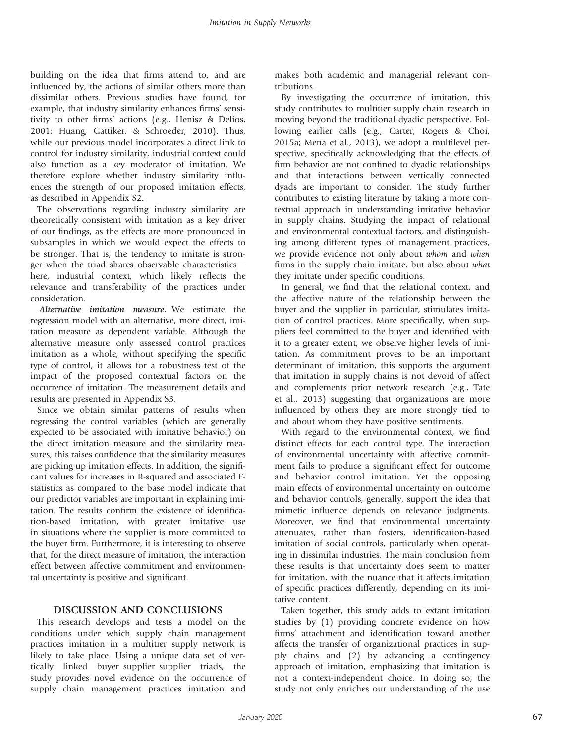building on the idea that firms attend to, and are influenced by, the actions of similar others more than dissimilar others. Previous studies have found, for example, that industry similarity enhances firms' sensitivity to other firms' actions (e.g., Henisz & Delios, 2001; Huang, Gattiker, & Schroeder, 2010). Thus, while our previous model incorporates a direct link to control for industry similarity, industrial context could also function as a key moderator of imitation. We therefore explore whether industry similarity influences the strength of our proposed imitation effects, as described in Appendix S2.

The observations regarding industry similarity are theoretically consistent with imitation as a key driver of our findings, as the effects are more pronounced in subsamples in which we would expect the effects to be stronger. That is, the tendency to imitate is stronger when the triad shares observable characteristics here, industrial context, which likely reflects the relevance and transferability of the practices under consideration.

Alternative imitation measure. We estimate the regression model with an alternative, more direct, imitation measure as dependent variable. Although the alternative measure only assessed control practices imitation as a whole, without specifying the specific type of control, it allows for a robustness test of the impact of the proposed contextual factors on the occurrence of imitation. The measurement details and results are presented in Appendix S3.

Since we obtain similar patterns of results when regressing the control variables (which are generally expected to be associated with imitative behavior) on the direct imitation measure and the similarity measures, this raises confidence that the similarity measures are picking up imitation effects. In addition, the significant values for increases in R-squared and associated Fstatistics as compared to the base model indicate that our predictor variables are important in explaining imitation. The results confirm the existence of identification-based imitation, with greater imitative use in situations where the supplier is more committed to the buyer firm. Furthermore, it is interesting to observe that, for the direct measure of imitation, the interaction effect between affective commitment and environmental uncertainty is positive and significant.

#### DISCUSSION AND CONCLUSIONS

This research develops and tests a model on the conditions under which supply chain management practices imitation in a multitier supply network is likely to take place. Using a unique data set of vertically linked buyer–supplier–supplier triads, the study provides novel evidence on the occurrence of supply chain management practices imitation and

makes both academic and managerial relevant contributions.

By investigating the occurrence of imitation, this study contributes to multitier supply chain research in moving beyond the traditional dyadic perspective. Following earlier calls (e.g., Carter, Rogers & Choi, 2015a; Mena et al., 2013), we adopt a multilevel perspective, specifically acknowledging that the effects of firm behavior are not confined to dyadic relationships and that interactions between vertically connected dyads are important to consider. The study further contributes to existing literature by taking a more contextual approach in understanding imitative behavior in supply chains. Studying the impact of relational and environmental contextual factors, and distinguishing among different types of management practices, we provide evidence not only about whom and when firms in the supply chain imitate, but also about what they imitate under specific conditions.

In general, we find that the relational context, and the affective nature of the relationship between the buyer and the supplier in particular, stimulates imitation of control practices. More specifically, when suppliers feel committed to the buyer and identified with it to a greater extent, we observe higher levels of imitation. As commitment proves to be an important determinant of imitation, this supports the argument that imitation in supply chains is not devoid of affect and complements prior network research (e.g., Tate et al., 2013) suggesting that organizations are more influenced by others they are more strongly tied to and about whom they have positive sentiments.

With regard to the environmental context, we find distinct effects for each control type. The interaction of environmental uncertainty with affective commitment fails to produce a significant effect for outcome and behavior control imitation. Yet the opposing main effects of environmental uncertainty on outcome and behavior controls, generally, support the idea that mimetic influence depends on relevance judgments. Moreover, we find that environmental uncertainty attenuates, rather than fosters, identification-based imitation of social controls, particularly when operating in dissimilar industries. The main conclusion from these results is that uncertainty does seem to matter for imitation, with the nuance that it affects imitation of specific practices differently, depending on its imitative content.

Taken together, this study adds to extant imitation studies by (1) providing concrete evidence on how firms' attachment and identification toward another affects the transfer of organizational practices in supply chains and (2) by advancing a contingency approach of imitation, emphasizing that imitation is not a context-independent choice. In doing so, the study not only enriches our understanding of the use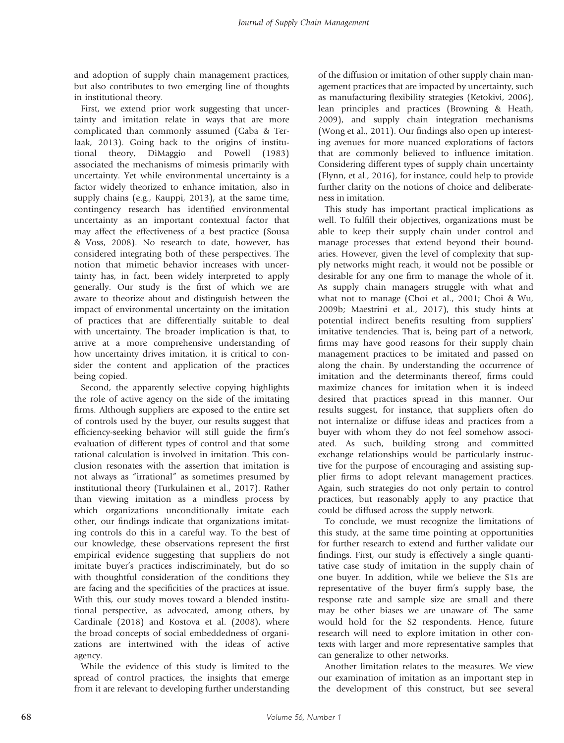and adoption of supply chain management practices, but also contributes to two emerging line of thoughts in institutional theory.

First, we extend prior work suggesting that uncertainty and imitation relate in ways that are more complicated than commonly assumed (Gaba & Terlaak, 2013). Going back to the origins of institutional theory, DiMaggio and Powell (1983) associated the mechanisms of mimesis primarily with uncertainty. Yet while environmental uncertainty is a factor widely theorized to enhance imitation, also in supply chains (e.g., Kauppi, 2013), at the same time, contingency research has identified environmental uncertainty as an important contextual factor that may affect the effectiveness of a best practice (Sousa & Voss, 2008). No research to date, however, has considered integrating both of these perspectives. The notion that mimetic behavior increases with uncertainty has, in fact, been widely interpreted to apply generally. Our study is the first of which we are aware to theorize about and distinguish between the impact of environmental uncertainty on the imitation of practices that are differentially suitable to deal with uncertainty. The broader implication is that, to arrive at a more comprehensive understanding of how uncertainty drives imitation, it is critical to consider the content and application of the practices being copied.

Second, the apparently selective copying highlights the role of active agency on the side of the imitating firms. Although suppliers are exposed to the entire set of controls used by the buyer, our results suggest that efficiency-seeking behavior will still guide the firm's evaluation of different types of control and that some rational calculation is involved in imitation. This conclusion resonates with the assertion that imitation is not always as "irrational" as sometimes presumed by institutional theory (Turkulainen et al., 2017). Rather than viewing imitation as a mindless process by which organizations unconditionally imitate each other, our findings indicate that organizations imitating controls do this in a careful way. To the best of our knowledge, these observations represent the first empirical evidence suggesting that suppliers do not imitate buyer's practices indiscriminately, but do so with thoughtful consideration of the conditions they are facing and the specificities of the practices at issue. With this, our study moves toward a blended institutional perspective, as advocated, among others, by Cardinale (2018) and Kostova et al. (2008), where the broad concepts of social embeddedness of organizations are intertwined with the ideas of active agency.

While the evidence of this study is limited to the spread of control practices, the insights that emerge from it are relevant to developing further understanding of the diffusion or imitation of other supply chain management practices that are impacted by uncertainty, such as manufacturing flexibility strategies (Ketokivi, 2006), lean principles and practices (Browning & Heath, 2009), and supply chain integration mechanisms (Wong et al., 2011). Our findings also open up interesting avenues for more nuanced explorations of factors that are commonly believed to influence imitation. Considering different types of supply chain uncertainty (Flynn, et al., 2016), for instance, could help to provide further clarity on the notions of choice and deliberateness in imitation.

This study has important practical implications as well. To fulfill their objectives, organizations must be able to keep their supply chain under control and manage processes that extend beyond their boundaries. However, given the level of complexity that supply networks might reach, it would not be possible or desirable for any one firm to manage the whole of it. As supply chain managers struggle with what and what not to manage (Choi et al., 2001; Choi & Wu, 2009b; Maestrini et al., 2017), this study hints at potential indirect benefits resulting from suppliers' imitative tendencies. That is, being part of a network, firms may have good reasons for their supply chain management practices to be imitated and passed on along the chain. By understanding the occurrence of imitation and the determinants thereof, firms could maximize chances for imitation when it is indeed desired that practices spread in this manner. Our results suggest, for instance, that suppliers often do not internalize or diffuse ideas and practices from a buyer with whom they do not feel somehow associated. As such, building strong and committed exchange relationships would be particularly instructive for the purpose of encouraging and assisting supplier firms to adopt relevant management practices. Again, such strategies do not only pertain to control practices, but reasonably apply to any practice that could be diffused across the supply network.

To conclude, we must recognize the limitations of this study, at the same time pointing at opportunities for further research to extend and further validate our findings. First, our study is effectively a single quantitative case study of imitation in the supply chain of one buyer. In addition, while we believe the S1s are representative of the buyer firm's supply base, the response rate and sample size are small and there may be other biases we are unaware of. The same would hold for the S2 respondents. Hence, future research will need to explore imitation in other contexts with larger and more representative samples that can generalize to other networks.

Another limitation relates to the measures. We view our examination of imitation as an important step in the development of this construct, but see several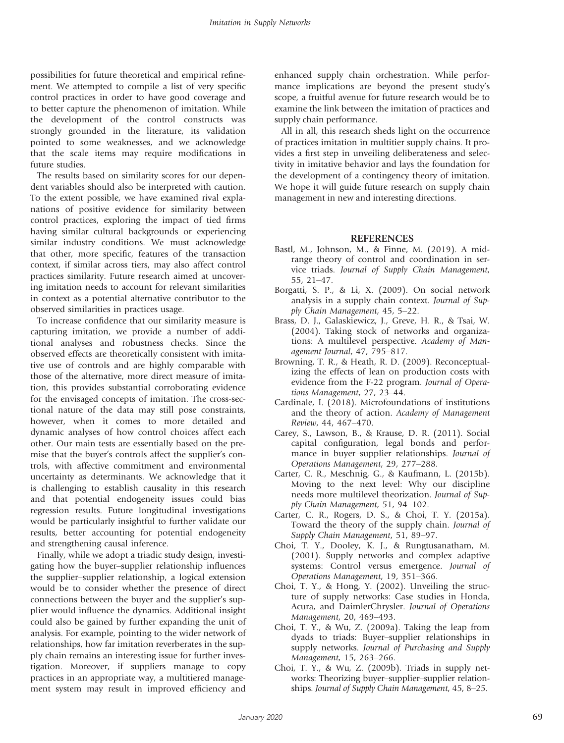possibilities for future theoretical and empirical refinement. We attempted to compile a list of very specific control practices in order to have good coverage and to better capture the phenomenon of imitation. While the development of the control constructs was strongly grounded in the literature, its validation pointed to some weaknesses, and we acknowledge that the scale items may require modifications in future studies.

The results based on similarity scores for our dependent variables should also be interpreted with caution. To the extent possible, we have examined rival explanations of positive evidence for similarity between control practices, exploring the impact of tied firms having similar cultural backgrounds or experiencing similar industry conditions. We must acknowledge that other, more specific, features of the transaction context, if similar across tiers, may also affect control practices similarity. Future research aimed at uncovering imitation needs to account for relevant similarities in context as a potential alternative contributor to the observed similarities in practices usage.

To increase confidence that our similarity measure is capturing imitation, we provide a number of additional analyses and robustness checks. Since the observed effects are theoretically consistent with imitative use of controls and are highly comparable with those of the alternative, more direct measure of imitation, this provides substantial corroborating evidence for the envisaged concepts of imitation. The cross-sectional nature of the data may still pose constraints, however, when it comes to more detailed and dynamic analyses of how control choices affect each other. Our main tests are essentially based on the premise that the buyer's controls affect the supplier's controls, with affective commitment and environmental uncertainty as determinants. We acknowledge that it is challenging to establish causality in this research and that potential endogeneity issues could bias regression results. Future longitudinal investigations would be particularly insightful to further validate our results, better accounting for potential endogeneity and strengthening causal inference.

Finally, while we adopt a triadic study design, investigating how the buyer–supplier relationship influences the supplier–supplier relationship, a logical extension would be to consider whether the presence of direct connections between the buyer and the supplier's supplier would influence the dynamics. Additional insight could also be gained by further expanding the unit of analysis. For example, pointing to the wider network of relationships, how far imitation reverberates in the supply chain remains an interesting issue for further investigation. Moreover, if suppliers manage to copy practices in an appropriate way, a multitiered management system may result in improved efficiency and

enhanced supply chain orchestration. While performance implications are beyond the present study's scope, a fruitful avenue for future research would be to examine the link between the imitation of practices and supply chain performance.

All in all, this research sheds light on the occurrence of practices imitation in multitier supply chains. It provides a first step in unveiling deliberateness and selectivity in imitative behavior and lays the foundation for the development of a contingency theory of imitation. We hope it will guide future research on supply chain management in new and interesting directions.

#### REFERENCES

- Bastl, M., Johnson, M., & Finne, M. (2019). A midrange theory of control and coordination in service triads. Journal of Supply Chain Management, 55, 21–47.
- Borgatti, S. P., & Li, X. (2009). On social network analysis in a supply chain context. Journal of Supply Chain Management, 45, 5–22.
- Brass, D. J., Galaskiewicz, J., Greve, H. R., & Tsai, W. (2004). Taking stock of networks and organizations: A multilevel perspective. Academy of Management Journal, 47, 795–817.
- Browning, T. R., & Heath, R. D. (2009). Reconceptualizing the effects of lean on production costs with evidence from the F-22 program. Journal of Operations Management, 27, 23–44.
- Cardinale, I. (2018). Microfoundations of institutions and the theory of action. Academy of Management Review, 44, 467–470.
- Carey, S., Lawson, B., & Krause, D. R. (2011). Social capital configuration, legal bonds and performance in buyer–supplier relationships. Journal of Operations Management, 29, 277–288.
- Carter, C. R., Meschnig, G., & Kaufmann, L. (2015b). Moving to the next level: Why our discipline needs more multilevel theorization. Journal of Supply Chain Management, 51, 94–102.
- Carter, C. R., Rogers, D. S., & Choi, T. Y. (2015a). Toward the theory of the supply chain. Journal of Supply Chain Management, 51, 89–97.
- Choi, T. Y., Dooley, K. J., & Rungtusanatham, M. (2001). Supply networks and complex adaptive systems: Control versus emergence. Journal of Operations Management, 19, 351–366.
- Choi, T. Y., & Hong, Y. (2002). Unveiling the structure of supply networks: Case studies in Honda, Acura, and DaimlerChrysler. Journal of Operations Management, 20, 469–493.
- Choi, T. Y., & Wu, Z. (2009a). Taking the leap from dyads to triads: Buyer–supplier relationships in supply networks. Journal of Purchasing and Supply Management, 15, 263–266.
- Choi, T. Y., & Wu, Z. (2009b). Triads in supply networks: Theorizing buyer–supplier–supplier relationships. Journal of Supply Chain Management, 45, 8–25.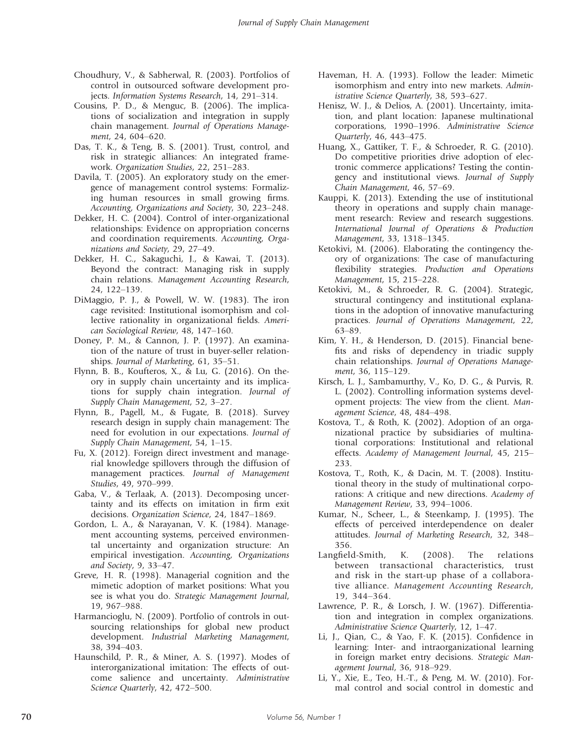- Choudhury, V., & Sabherwal, R. (2003). Portfolios of control in outsourced software development projects. Information Systems Research, 14, 291–314.
- Cousins, P. D., & Menguc, B. (2006). The implications of socialization and integration in supply chain management. Journal of Operations Management, 24, 604–620.
- Das, T. K., & Teng, B. S. (2001). Trust, control, and risk in strategic alliances: An integrated framework. Organization Studies, 22, 251–283.
- Davila, T. (2005). An exploratory study on the emergence of management control systems: Formalizing human resources in small growing firms. Accounting, Organizations and Society, 30, 223–248.
- Dekker, H. C. (2004). Control of inter-organizational relationships: Evidence on appropriation concerns and coordination requirements. Accounting, Organizations and Society, 29, 27–49.
- Dekker, H. C., Sakaguchi, J., & Kawai, T. (2013). Beyond the contract: Managing risk in supply chain relations. Management Accounting Research, 24, 122–139.
- DiMaggio, P. J., & Powell, W. W. (1983). The iron cage revisited: Institutional isomorphism and collective rationality in organizational fields. American Sociological Review, 48, 147–160.
- Doney, P. M., & Cannon, J. P. (1997). An examination of the nature of trust in buyer-seller relationships. Journal of Marketing, 61, 35–51.
- Flynn, B. B., Koufteros, X., & Lu, G. (2016). On theory in supply chain uncertainty and its implications for supply chain integration. Journal of Supply Chain Management, 52, 3–27.
- Flynn, B., Pagell, M., & Fugate, B. (2018). Survey research design in supply chain management: The need for evolution in our expectations. Journal of Supply Chain Management, 54, 1–15.
- Fu, X. (2012). Foreign direct investment and managerial knowledge spillovers through the diffusion of management practices. Journal of Management Studies, 49, 970–999.
- Gaba, V., & Terlaak, A. (2013). Decomposing uncertainty and its effects on imitation in firm exit decisions. Organization Science, 24, 1847–1869.
- Gordon, L. A., & Narayanan, V. K. (1984). Management accounting systems, perceived environmental uncertainty and organization structure: An empirical investigation. Accounting, Organizations and Society, 9, 33–47.
- Greve, H. R. (1998). Managerial cognition and the mimetic adoption of market positions: What you see is what you do. Strategic Management Journal, 19, 967–988.
- Harmancioglu, N. (2009). Portfolio of controls in outsourcing relationships for global new product development. Industrial Marketing Management, 38, 394–403.
- Haunschild, P. R., & Miner, A. S. (1997). Modes of interorganizational imitation: The effects of outcome salience and uncertainty. Administrative Science Quarterly, 42, 472–500.
- Haveman, H. A. (1993). Follow the leader: Mimetic isomorphism and entry into new markets. Administrative Science Quarterly, 38, 593–627.
- Henisz, W. J., & Delios, A. (2001). Uncertainty, imitation, and plant location: Japanese multinational corporations, 1990–1996. Administrative Science Quarterly, 46, 443–475.
- Huang, X., Gattiker, T. F., & Schroeder, R. G. (2010). Do competitive priorities drive adoption of electronic commerce applications? Testing the contingency and institutional views. Journal of Supply Chain Management, 46, 57–69.
- Kauppi, K. (2013). Extending the use of institutional theory in operations and supply chain management research: Review and research suggestions. International Journal of Operations & Production Management, 33, 1318–1345.
- Ketokivi, M. (2006). Elaborating the contingency theory of organizations: The case of manufacturing flexibility strategies. Production and Operations Management, 15, 215–228.
- Ketokivi, M., & Schroeder, R. G. (2004). Strategic, structural contingency and institutional explanations in the adoption of innovative manufacturing practices. Journal of Operations Management, 22, 63–89.
- Kim, Y. H., & Henderson, D. (2015). Financial benefits and risks of dependency in triadic supply chain relationships. Journal of Operations Management, 36, 115–129.
- Kirsch, L. J., Sambamurthy, V., Ko, D. G., & Purvis, R. L. (2002). Controlling information systems development projects: The view from the client. Management Science, 48, 484–498.
- Kostova, T., & Roth, K. (2002). Adoption of an organizational practice by subsidiaries of multinational corporations: Institutional and relational effects. Academy of Management Journal, 45, 215– 233.
- Kostova, T., Roth, K., & Dacin, M. T. (2008). Institutional theory in the study of multinational corporations: A critique and new directions. Academy of Management Review, 33, 994–1006.
- Kumar, N., Scheer, L., & Steenkamp, J. (1995). The effects of perceived interdependence on dealer attitudes. Journal of Marketing Research, 32, 348– 356.
- Langfield-Smith, K. (2008). The relations between transactional characteristics, trust and risk in the start-up phase of a collaborative alliance. Management Accounting Research, 19, 344–364.
- Lawrence, P. R., & Lorsch, J. W. (1967). Differentiation and integration in complex organizations. Administrative Science Quarterly, 12, 1–47.
- Li, J., Qian, C., & Yao, F. K. (2015). Confidence in learning: Inter- and intraorganizational learning in foreign market entry decisions. Strategic Management Journal, 36, 918–929.
- Li, Y., Xie, E., Teo, H.-T., & Peng, M. W. (2010). Formal control and social control in domestic and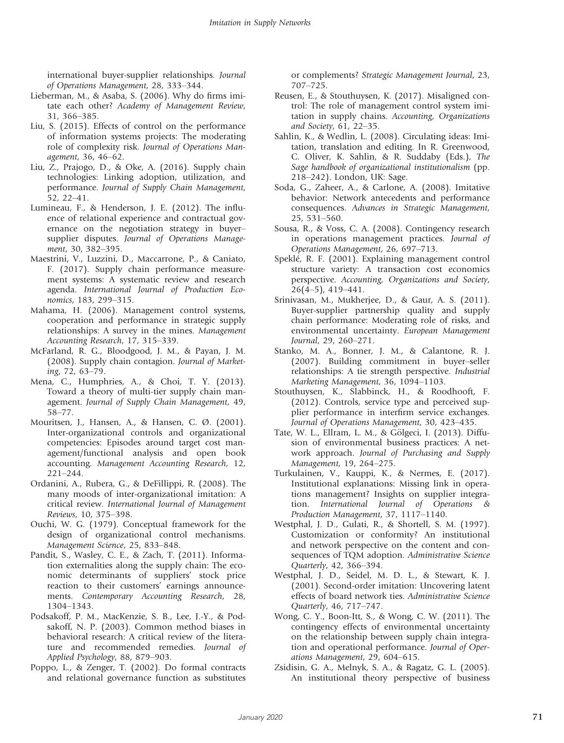international buyer-supplier relationships. Journal of Operations Management, 28, 333–344.

- Lieberman, M., & Asaba, S. (2006). Why do firms imitate each other? Academy of Management Review, 31, 366–385.
- Liu, S. (2015). Effects of control on the performance of information systems projects: The moderating role of complexity risk. Journal of Operations Management, 36, 46–62.
- Liu, Z., Prajogo, D., & Oke, A. (2016). Supply chain technologies: Linking adoption, utilization, and performance. Journal of Supply Chain Management, 52, 22–41.
- Lumineau, F., & Henderson, J. E. (2012). The influence of relational experience and contractual governance on the negotiation strategy in buyer– supplier disputes. Journal of Operations Management, 30, 382–395.
- Maestrini, V., Luzzini, D., Maccarrone, P., & Caniato, F. (2017). Supply chain performance measurement systems: A systematic review and research agenda. International Journal of Production Economics, 183, 299–315.
- Mahama, H. (2006). Management control systems, cooperation and performance in strategic supply relationships: A survey in the mines. Management Accounting Research, 17, 315–339.
- McFarland, R. G., Bloodgood, J. M., & Payan, J. M. (2008). Supply chain contagion. Journal of Marketing, 72, 63–79.
- Mena, C., Humphries, A., & Choi, T. Y. (2013). Toward a theory of multi-tier supply chain management. Journal of Supply Chain Management, 49, 58–77.
- Mouritsen, J., Hansen, A., & Hansen, C. Ø. (2001). Inter-organizational controls and organizational competencies: Episodes around target cost management/functional analysis and open book accounting. Management Accounting Research, 12, 221–244.
- Ordanini, A., Rubera, G., & DeFillippi, R. (2008). The many moods of inter-organizational imitation: A critical review. International Journal of Management Reviews, 10, 375–398.
- Ouchi, W. G. (1979). Conceptual framework for the design of organizational control mechanisms. Management Science, 25, 833–848.
- Pandit, S., Wasley, C. E., & Zach, T. (2011). Information externalities along the supply chain: The economic determinants of suppliers' stock price reaction to their customers' earnings announcements. Contemporary Accounting Research, 28, 1304–1343.
- Podsakoff, P. M., MacKenzie, S. B., Lee, J.-Y., & Podsakoff, N. P. (2003). Common method biases in behavioral research: A critical review of the literature and recommended remedies. Journal of Applied Psychology, 88, 879–903.
- Poppo, L., & Zenger, T. (2002). Do formal contracts and relational governance function as substitutes

or complements? Strategic Management Journal, 23, 707–725.

- Reusen, E., & Stouthuysen, K. (2017). Misaligned control: The role of management control system imitation in supply chains. Accounting, Organizations and Society, 61, 22–35.
- Sahlin, K., & Wedlin, L. (2008). Circulating ideas: Imitation, translation and editing. In R. Greenwood, C. Oliver, K. Sahlin, & R. Suddaby (Eds.), The Sage handbook of organizational institutionalism (pp. 218–242). London, UK: Sage.
- Soda, G., Zaheer, A., & Carlone, A. (2008). Imitative behavior: Network antecedents and performance consequences. Advances in Strategic Management, 25, 531–560.
- Sousa, R., & Voss, C. A. (2008). Contingency research in operations management practices. Journal of Operations Management, 26, 697–713.
- Speklé, R. F. (2001). Explaining management control structure variety: A transaction cost economics perspective. Accounting, Organizations and Society, 26(4–5), 419–441.
- Srinivasan, M., Mukherjee, D., & Gaur, A. S. (2011). Buyer-supplier partnership quality and supply chain performance: Moderating role of risks, and environmental uncertainty. European Management Journal, 29, 260–271.
- Stanko, M. A., Bonner, J. M., & Calantone, R. J. (2007). Building commitment in buyer–seller relationships: A tie strength perspective. Industrial Marketing Management, 36, 1094–1103.
- Stouthuysen, K., Slabbinck, H., & Roodhooft, F. (2012). Controls, service type and perceived supplier performance in interfirm service exchanges. Journal of Operations Management, 30, 423–435.
- Tate, W. L., Ellram, L. M., & Gölgeci, I. (2013). Diffusion of environmental business practices: A network approach. Journal of Purchasing and Supply Management, 19, 264–275.
- Turkulainen, V., Kauppi, K., & Nermes, E. (2017). Institutional explanations: Missing link in operations management? Insights on supplier integration. International Journal of Operations & Production Management, 37, 1117–1140.
- Westphal, J. D., Gulati, R., & Shortell, S. M. (1997). Customization or conformity? An institutional and network perspective on the content and consequences of TQM adoption. Administrative Science Quarterly, 42, 366–394.
- Westphal, J. D., Seidel, M. D. L., & Stewart, K. J. (2001). Second-order imitation: Uncovering latent effects of board network ties. Administrative Science Quarterly, 46, 717–747.
- Wong, C. Y., Boon-Itt, S., & Wong, C. W. (2011). The contingency effects of environmental uncertainty on the relationship between supply chain integration and operational performance. Journal of Operations Management, 29, 604–615.
- Zsidisin, G. A., Melnyk, S. A., & Ragatz, G. L. (2005). An institutional theory perspective of business